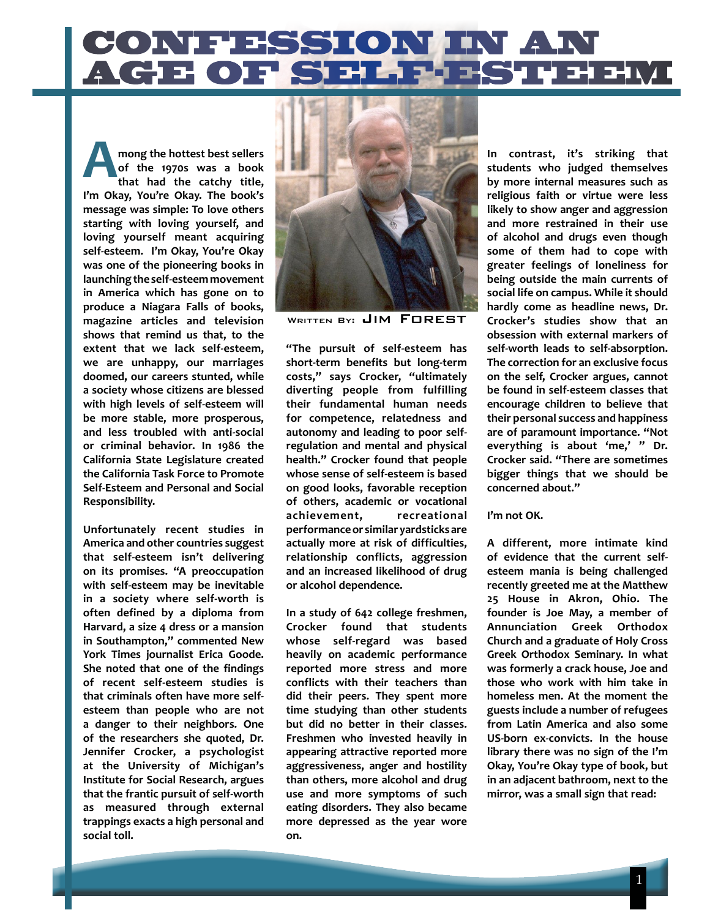# CONFESSION IN AN AGE OF SEL

**Among the hottest best sellers of the 1970s was a book that had the catchy title, I'm Okay, You're Okay. The book's message was simple: To love others starting with loving yourself, and loving yourself meant acquiring self-esteem. I'm Okay, You're Okay was one of the pioneering books in launching the self-esteem movement in America which has gone on to produce a Niagara Falls of books, magazine articles and television shows that remind us that, to the extent that we lack self-esteem, we are unhappy, our marriages doomed, our careers stunted, while a society whose citizens are blessed with high levels of self-esteem will be more stable, more prosperous, and less troubled with anti-social or criminal behavior. In 1986 the California State Legislature created the California Task Force to Promote Self-Esteem and Personal and Social Responsibility.**

**Unfortunately recent studies in America and other countries suggest that self-esteem isn't delivering on its promises. "A preoccupation with self-esteem may be inevitable in a society where self-worth is often defined by a diploma from Harvard, a size 4 dress or a mansion in Southampton," commented New York Times journalist Erica Goode. She noted that one of the findings of recent self-esteem studies is that criminals often have more selfesteem than people who are not a danger to their neighbors. One of the researchers she quoted, Dr. Jennifer Crocker, a psychologist at the University of Michigan's Institute for Social Research, argues that the frantic pursuit of self-worth as measured through external trappings exacts a high personal and social toll.**



WRITTEN BY: **JIM FOREST** 

**"The pursuit of self-esteem has short-term benefits but long-term costs," says Crocker, "ultimately diverting people from fulfilling their fundamental human needs for competence, relatedness and autonomy and leading to poor selfregulation and mental and physical health." Crocker found that people whose sense of self-esteem is based on good looks, favorable reception of others, academic or vocational achievement, recreational performance or similar yardsticks are actually more at risk of difficulties, relationship conflicts, aggression and an increased likelihood of drug or alcohol dependence.**

**In a study of 642 college freshmen, Crocker found that students whose self-regard was based heavily on academic performance reported more stress and more conflicts with their teachers than did their peers. They spent more time studying than other students but did no better in their classes. Freshmen who invested heavily in appearing attractive reported more aggressiveness, anger and hostility than others, more alcohol and drug use and more symptoms of such eating disorders. They also became more depressed as the year wore on.**

**In contrast, it's striking that students who judged themselves by more internal measures such as religious faith or virtue were less likely to show anger and aggression and more restrained in their use of alcohol and drugs even though some of them had to cope with greater feelings of loneliness for being outside the main currents of social life on campus. While it should hardly come as headline news, Dr. Crocker's studies show that an obsession with external markers of self-worth leads to self-absorption. The correction for an exclusive focus on the self, Crocker argues, cannot be found in self-esteem classes that encourage children to believe that their personal success and happiness are of paramount importance. "Not everything is about 'me,' " Dr. Crocker said. "There are sometimes bigger things that we should be concerned about."**

**I'm not OK.**

**A different, more intimate kind of evidence that the current selfesteem mania is being challenged recently greeted me at the Matthew 25 House in Akron, Ohio. The founder is Joe May, a member of Annunciation Greek Orthodox Church and a graduate of Holy Cross Greek Orthodox Seminary. In what was formerly a crack house, Joe and those who work with him take in homeless men. At the moment the guests include a number of refugees from Latin America and also some US-born ex-convicts. In the house library there was no sign of the I'm Okay, You're Okay type of book, but in an adjacent bathroom, next to the mirror, was a small sign that read:**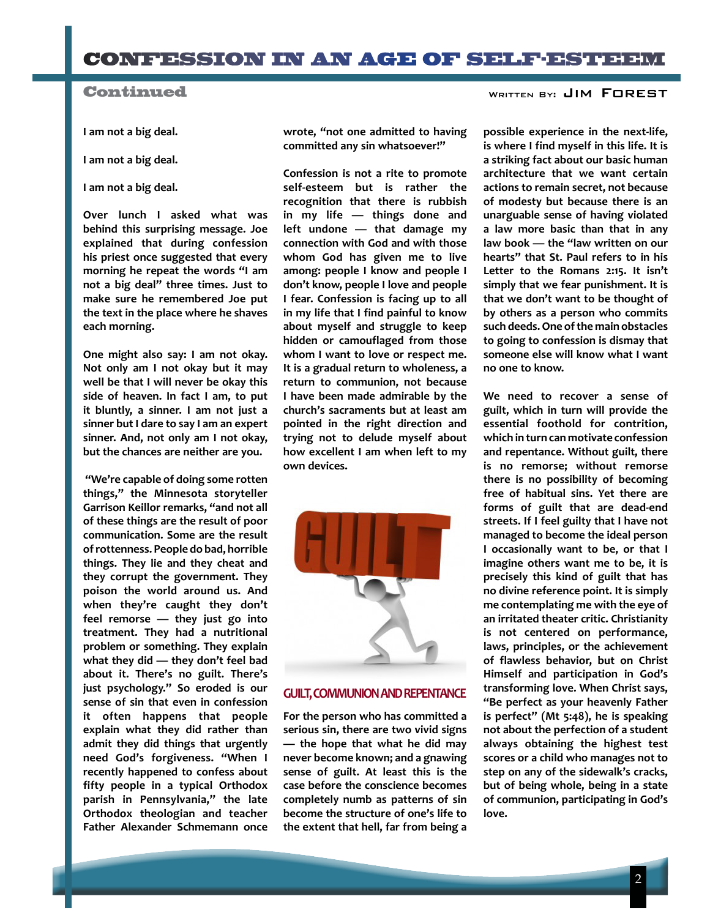#### Continued

WRITTEN BY: **JIM FOREST** 

**I am not a big deal.**

**I am not a big deal.**

**I am not a big deal.**

**Over lunch I asked what was behind this surprising message. Joe explained that during confession his priest once suggested that every morning he repeat the words "I am not a big deal" three times. Just to make sure he remembered Joe put the text in the place where he shaves each morning.**

**One might also say: I am not okay. Not only am I not okay but it may well be that I will never be okay this side of heaven. In fact I am, to put it bluntly, a sinner. I am not just a sinner but I dare to say I am an expert sinner. And, not only am I not okay, but the chances are neither are you.**

 **"We're capable of doing some rotten things," the Minnesota storyteller Garrison Keillor remarks, "and not all of these things are the result of poor communication. Some are the result of rottenness. People do bad, horrible things. They lie and they cheat and they corrupt the government. They poison the world around us. And when they're caught they don't feel remorse — they just go into treatment. They had a nutritional problem or something. They explain what they did — they don't feel bad about it. There's no guilt. There's just psychology." So eroded is our sense of sin that even in confession it often happens that people explain what they did rather than admit they did things that urgently need God's forgiveness. "When I recently happened to confess about fifty people in a typical Orthodox parish in Pennsylvania," the late Orthodox theologian and teacher Father Alexander Schmemann once** 

**wrote, "not one admitted to having committed any sin whatsoever!"**

**Confession is not a rite to promote self-esteem but is rather the recognition that there is rubbish in my life — things done and left undone — that damage my connection with God and with those whom God has given me to live among: people I know and people I don't know, people I love and people I fear. Confession is facing up to all in my life that I find painful to know about myself and struggle to keep hidden or camouflaged from those whom I want to love or respect me. It is a gradual return to wholeness, a return to communion, not because I have been made admirable by the church's sacraments but at least am pointed in the right direction and trying not to delude myself about how excellent I am when left to my own devices.**



#### **GUILT, COMMUNION AND REPENTANCE**

**For the person who has committed a serious sin, there are two vivid signs — the hope that what he did may never become known; and a gnawing sense of guilt. At least this is the case before the conscience becomes completely numb as patterns of sin become the structure of one's life to the extent that hell, far from being a** 

**possible experience in the next-life, is where I find myself in this life. It is a striking fact about our basic human architecture that we want certain actions to remain secret, not because of modesty but because there is an unarguable sense of having violated a law more basic than that in any law book — the "law written on our hearts" that St. Paul refers to in his Letter to the Romans 2:15. It isn't simply that we fear punishment. It is that we don't want to be thought of by others as a person who commits such deeds. One of the main obstacles to going to confession is dismay that someone else will know what I want no one to know.**

**We need to recover a sense of guilt, which in turn will provide the essential foothold for contrition, which in turn can motivate confession and repentance. Without guilt, there is no remorse; without remorse there is no possibility of becoming free of habitual sins. Yet there are forms of guilt that are dead-end streets. If I feel guilty that I have not managed to become the ideal person I occasionally want to be, or that I imagine others want me to be, it is precisely this kind of guilt that has no divine reference point. It is simply me contemplating me with the eye of an irritated theater critic. Christianity is not centered on performance, laws, principles, or the achievement of flawless behavior, but on Christ Himself and participation in God's transforming love. When Christ says, "Be perfect as your heavenly Father is perfect" (Mt 5:48), he is speaking not about the perfection of a student always obtaining the highest test scores or a child who manages not to step on any of the sidewalk's cracks, but of being whole, being in a state of communion, participating in God's love.**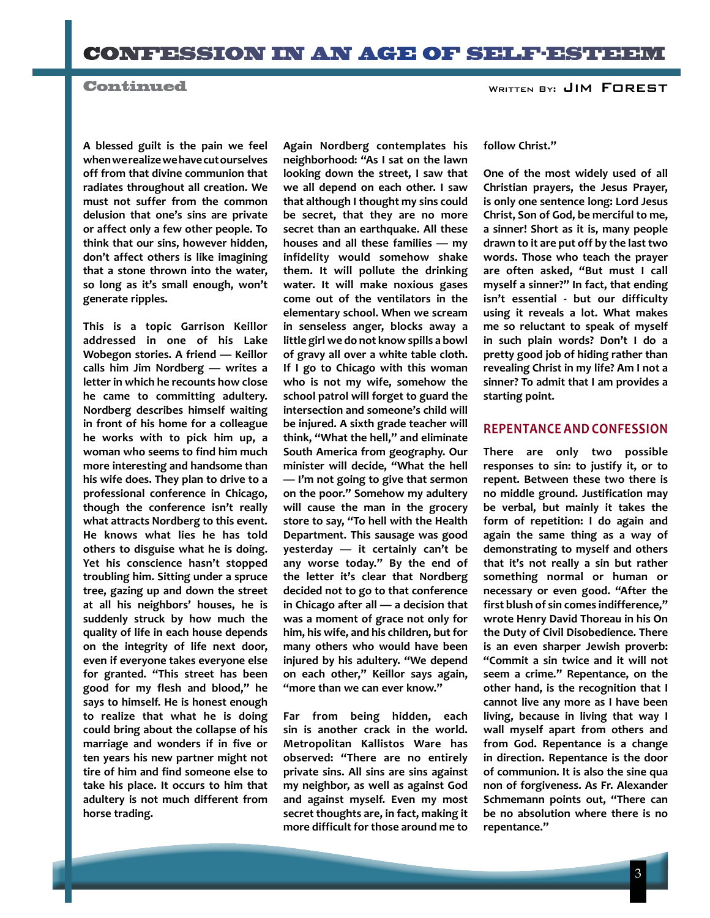Continued

WRITTEN BY: **JIM FOREST** 

**A blessed guilt is the pain we feel when we realize we have cut ourselves off from that divine communion that radiates throughout all creation. We must not suffer from the common delusion that one's sins are private or affect only a few other people. To think that our sins, however hidden, don't affect others is like imagining that a stone thrown into the water, so long as it's small enough, won't generate ripples.**

**This is a topic Garrison Keillor addressed in one of his Lake Wobegon stories. A friend — Keillor calls him Jim Nordberg — writes a letter in which he recounts how close he came to committing adultery. Nordberg describes himself waiting in front of his home for a colleague he works with to pick him up, a woman who seems to find him much more interesting and handsome than his wife does. They plan to drive to a professional conference in Chicago, though the conference isn't really what attracts Nordberg to this event. He knows what lies he has told others to disguise what he is doing. Yet his conscience hasn't stopped troubling him. Sitting under a spruce tree, gazing up and down the street at all his neighbors' houses, he is suddenly struck by how much the quality of life in each house depends on the integrity of life next door, even if everyone takes everyone else for granted. "This street has been good for my flesh and blood," he says to himself. He is honest enough to realize that what he is doing could bring about the collapse of his marriage and wonders if in five or ten years his new partner might not tire of him and find someone else to take his place. It occurs to him that adultery is not much different from horse trading.**

**Again Nordberg contemplates his neighborhood: "As I sat on the lawn looking down the street, I saw that we all depend on each other. I saw that although I thought my sins could be secret, that they are no more secret than an earthquake. All these houses and all these families — my infidelity would somehow shake them. It will pollute the drinking water. It will make noxious gases come out of the ventilators in the elementary school. When we scream in senseless anger, blocks away a little girl we do not know spills a bowl of gravy all over a white table cloth. If I go to Chicago with this woman who is not my wife, somehow the school patrol will forget to guard the intersection and someone's child will be injured. A sixth grade teacher will think, "What the hell," and eliminate South America from geography. Our minister will decide, "What the hell — I'm not going to give that sermon on the poor." Somehow my adultery will cause the man in the grocery store to say, "To hell with the Health Department. This sausage was good yesterday — it certainly can't be any worse today." By the end of the letter it's clear that Nordberg decided not to go to that conference in Chicago after all — a decision that was a moment of grace not only for him, his wife, and his children, but for many others who would have been injured by his adultery. "We depend on each other," Keillor says again, "more than we can ever know."**

**Far from being hidden, each sin is another crack in the world. Metropolitan Kallistos Ware has observed: "There are no entirely private sins. All sins are sins against my neighbor, as well as against God and against myself. Even my most secret thoughts are, in fact, making it more difficult for those around me to** 

**follow Christ."**

**One of the most widely used of all Christian prayers, the Jesus Prayer, is only one sentence long: Lord Jesus Christ, Son of God, be merciful to me, a sinner! Short as it is, many people drawn to it are put off by the last two words. Those who teach the prayer are often asked, "But must I call myself a sinner?" In fact, that ending isn't essential - but our difficulty using it reveals a lot. What makes me so reluctant to speak of myself in such plain words? Don't I do a pretty good job of hiding rather than revealing Christ in my life? Am I not a sinner? To admit that I am provides a starting point.**

#### **REPENTANCE AND CONFESSION**

**There are only two possible responses to sin: to justify it, or to repent. Between these two there is no middle ground. Justification may be verbal, but mainly it takes the form of repetition: I do again and again the same thing as a way of demonstrating to myself and others that it's not really a sin but rather something normal or human or necessary or even good. "After the first blush of sin comes indifference," wrote Henry David Thoreau in his On the Duty of Civil Disobedience. There is an even sharper Jewish proverb: "Commit a sin twice and it will not seem a crime." Repentance, on the other hand, is the recognition that I cannot live any more as I have been living, because in living that way I wall myself apart from others and from God. Repentance is a change in direction. Repentance is the door of communion. It is also the sine qua non of forgiveness. As Fr. Alexander Schmemann points out, "There can be no absolution where there is no repentance."**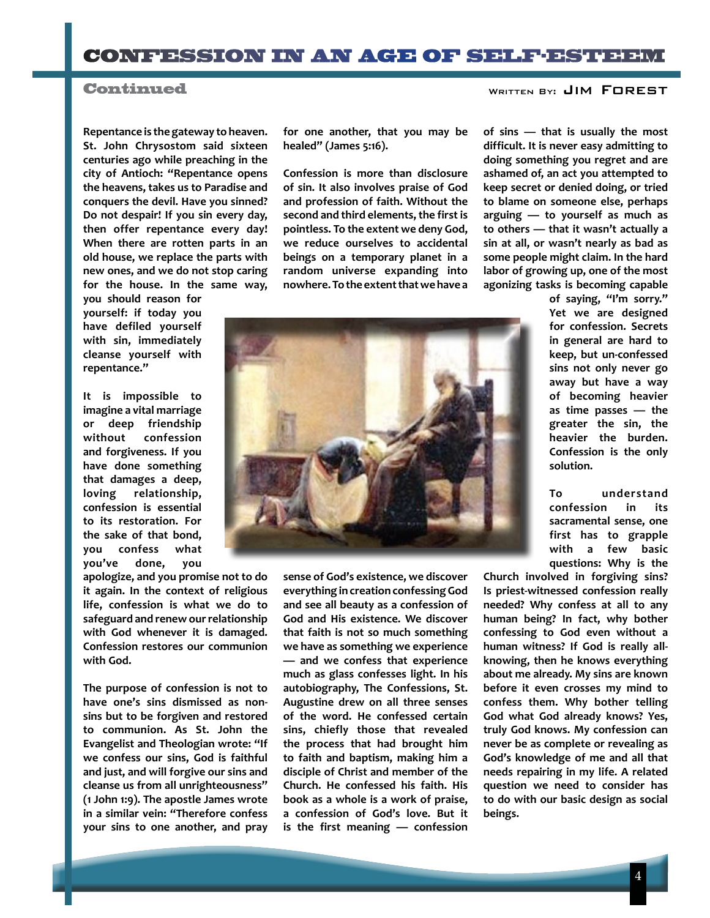#### Continued

WRITTEN BY: **JIM FOREST** 

**Repentance is the gateway to heaven. St. John Chrysostom said sixteen centuries ago while preaching in the city of Antioch: "Repentance opens the heavens, takes us to Paradise and conquers the devil. Have you sinned? Do not despair! If you sin every day, then offer repentance every day! When there are rotten parts in an old house, we replace the parts with new ones, and we do not stop caring for the house. In the same way,** 

**you should reason for yourself: if today you have defiled yourself with sin, immediately cleanse yourself with repentance."**

**It is impossible to imagine a vital marriage or deep friendship without confession and forgiveness. If you have done something that damages a deep, loving relationship, confession is essential to its restoration. For the sake of that bond, you confess what you've done, you** 

**apologize, and you promise not to do it again. In the context of religious life, confession is what we do to safeguard and renew our relationship with God whenever it is damaged. Confession restores our communion with God.**

**The purpose of confession is not to have one's sins dismissed as nonsins but to be forgiven and restored to communion. As St. John the Evangelist and Theologian wrote: "If we confess our sins, God is faithful and just, and will forgive our sins and cleanse us from all unrighteousness" (1 John 1:9). The apostle James wrote in a similar vein: "Therefore confess your sins to one another, and pray** 

**for one another, that you may be healed" (James 5:16).**

**Confession is more than disclosure of sin. It also involves praise of God and profession of faith. Without the second and third elements, the first is pointless. To the extent we deny God, we reduce ourselves to accidental beings on a temporary planet in a random universe expanding into nowhere. To the extent that we have a**  **of sins — that is usually the most difficult. It is never easy admitting to doing something you regret and are ashamed of, an act you attempted to keep secret or denied doing, or tried to blame on someone else, perhaps arguing — to yourself as much as to others — that it wasn't actually a sin at all, or wasn't nearly as bad as some people might claim. In the hard labor of growing up, one of the most agonizing tasks is becoming capable** 



**sense of God's existence, we discover everything in creation confessing God and see all beauty as a confession of God and His existence. We discover that faith is not so much something we have as something we experience — and we confess that experience much as glass confesses light. In his autobiography, The Confessions, St. Augustine drew on all three senses of the word. He confessed certain sins, chiefly those that revealed the process that had brought him to faith and baptism, making him a disciple of Christ and member of the Church. He confessed his faith. His book as a whole is a work of praise, a confession of God's love. But it is the first meaning — confession** 

**of saying, "I'm sorry." Yet we are designed for confession. Secrets in general are hard to keep, but un-confessed sins not only never go away but have a way of becoming heavier as time passes — the greater the sin, the heavier the burden. Confession is the only solution.**

**To understand confession in its sacramental sense, one first has to grapple with a few basic questions: Why is the** 

**Church involved in forgiving sins? Is priest-witnessed confession really needed? Why confess at all to any human being? In fact, why bother confessing to God even without a human witness? If God is really allknowing, then he knows everything about me already. My sins are known before it even crosses my mind to confess them. Why bother telling God what God already knows? Yes, truly God knows. My confession can never be as complete or revealing as God's knowledge of me and all that needs repairing in my life. A related question we need to consider has to do with our basic design as social beings.**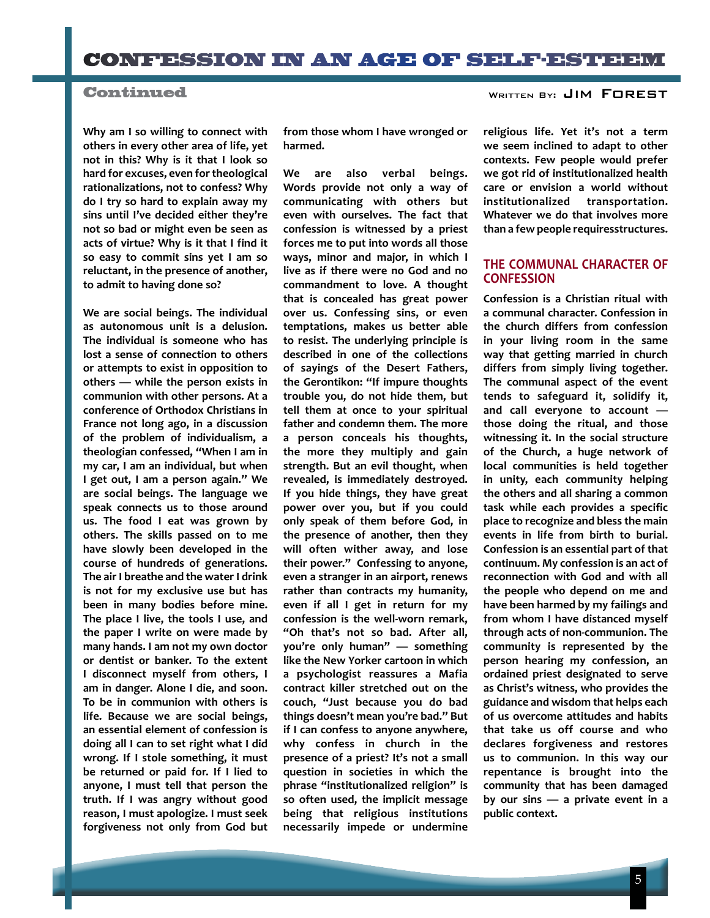#### Continued

WRITTEN BY: **JIM FOREST** 

**Why am I so willing to connect with others in every other area of life, yet not in this? Why is it that I look so hard for excuses, even for theological rationalizations, not to confess? Why do I try so hard to explain away my sins until I've decided either they're not so bad or might even be seen as acts of virtue? Why is it that I find it so easy to commit sins yet I am so reluctant, in the presence of another, to admit to having done so?**

**We are social beings. The individual as autonomous unit is a delusion. The individual is someone who has lost a sense of connection to others or attempts to exist in opposition to others — while the person exists in communion with other persons. At a conference of Orthodox Christians in France not long ago, in a discussion of the problem of individualism, a theologian confessed, "When I am in my car, I am an individual, but when I get out, I am a person again." We are social beings. The language we speak connects us to those around us. The food I eat was grown by others. The skills passed on to me have slowly been developed in the course of hundreds of generations. The air I breathe and the water I drink is not for my exclusive use but has been in many bodies before mine. The place I live, the tools I use, and the paper I write on were made by many hands. I am not my own doctor or dentist or banker. To the extent I disconnect myself from others, I am in danger. Alone I die, and soon. To be in communion with others is life. Because we are social beings, an essential element of confession is doing all I can to set right what I did wrong. If I stole something, it must be returned or paid for. If I lied to anyone, I must tell that person the truth. If I was angry without good reason, I must apologize. I must seek forgiveness not only from God but** 

**from those whom I have wronged or harmed.**

**We are also verbal beings. Words provide not only a way of communicating with others but even with ourselves. The fact that confession is witnessed by a priest forces me to put into words all those ways, minor and major, in which I live as if there were no God and no commandment to love. A thought that is concealed has great power over us. Confessing sins, or even temptations, makes us better able to resist. The underlying principle is described in one of the collections of sayings of the Desert Fathers, the Gerontikon: "If impure thoughts trouble you, do not hide them, but tell them at once to your spiritual father and condemn them. The more a person conceals his thoughts, the more they multiply and gain strength. But an evil thought, when revealed, is immediately destroyed. If you hide things, they have great power over you, but if you could only speak of them before God, in the presence of another, then they will often wither away, and lose their power." Confessing to anyone, even a stranger in an airport, renews rather than contracts my humanity, even if all I get in return for my confession is the well-worn remark, "Oh that's not so bad. After all, you're only human" — something like the New Yorker cartoon in which a psychologist reassures a Mafia contract killer stretched out on the couch, "Just because you do bad things doesn't mean you're bad." But if I can confess to anyone anywhere, why confess in church in the presence of a priest? It's not a small question in societies in which the phrase "institutionalized religion" is so often used, the implicit message being that religious institutions necessarily impede or undermine** 

**religious life. Yet it's not a term we seem inclined to adapt to other contexts. Few people would prefer we got rid of institutionalized health care or envision a world without institutionalized transportation. Whatever we do that involves more than a few people requiresstructures.**

#### **THE COMMUNAL CHARACTER OF CONFESSION**

**Confession is a Christian ritual with a communal character. Confession in the church differs from confession in your living room in the same way that getting married in church differs from simply living together. The communal aspect of the event tends to safeguard it, solidify it, and call everyone to account those doing the ritual, and those witnessing it. In the social structure of the Church, a huge network of local communities is held together in unity, each community helping the others and all sharing a common task while each provides a specific place to recognize and bless the main events in life from birth to burial. Confession is an essential part of that continuum. My confession is an act of reconnection with God and with all the people who depend on me and have been harmed by my failings and from whom I have distanced myself through acts of non-communion. The community is represented by the person hearing my confession, an ordained priest designated to serve as Christ's witness, who provides the guidance and wisdom that helps each of us overcome attitudes and habits that take us off course and who declares forgiveness and restores us to communion. In this way our repentance is brought into the community that has been damaged by our sins — a private event in a public context.**